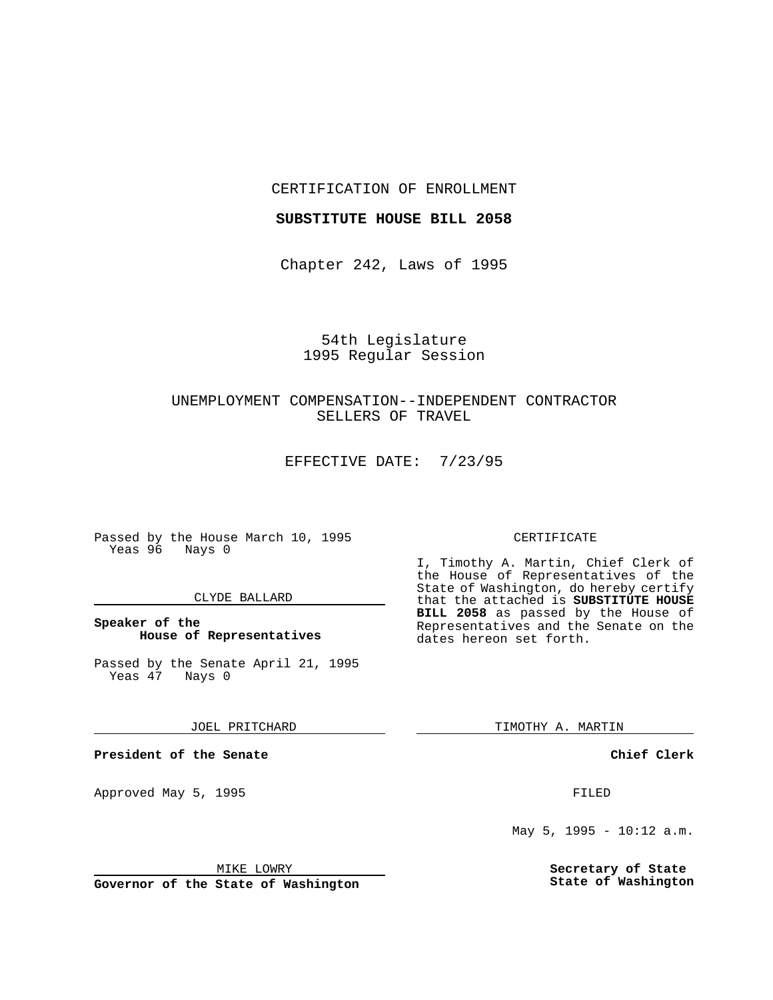### CERTIFICATION OF ENROLLMENT

# **SUBSTITUTE HOUSE BILL 2058**

Chapter 242, Laws of 1995

# 54th Legislature 1995 Regular Session

# UNEMPLOYMENT COMPENSATION--INDEPENDENT CONTRACTOR SELLERS OF TRAVEL

EFFECTIVE DATE: 7/23/95

Passed by the House March 10, 1995 Yeas 96 Nays 0

#### CLYDE BALLARD

# **Speaker of the House of Representatives**

Passed by the Senate April 21, 1995<br>Yeas 47 Nays 0 Yeas 47

JOEL PRITCHARD

**President of the Senate**

Approved May 5, 1995 **FILED** 

### MIKE LOWRY

**Governor of the State of Washington**

#### CERTIFICATE

I, Timothy A. Martin, Chief Clerk of the House of Representatives of the State of Washington, do hereby certify that the attached is **SUBSTITUTE HOUSE BILL 2058** as passed by the House of Representatives and the Senate on the dates hereon set forth.

TIMOTHY A. MARTIN

**Chief Clerk**

May 5, 1995 - 10:12 a.m.

**Secretary of State State of Washington**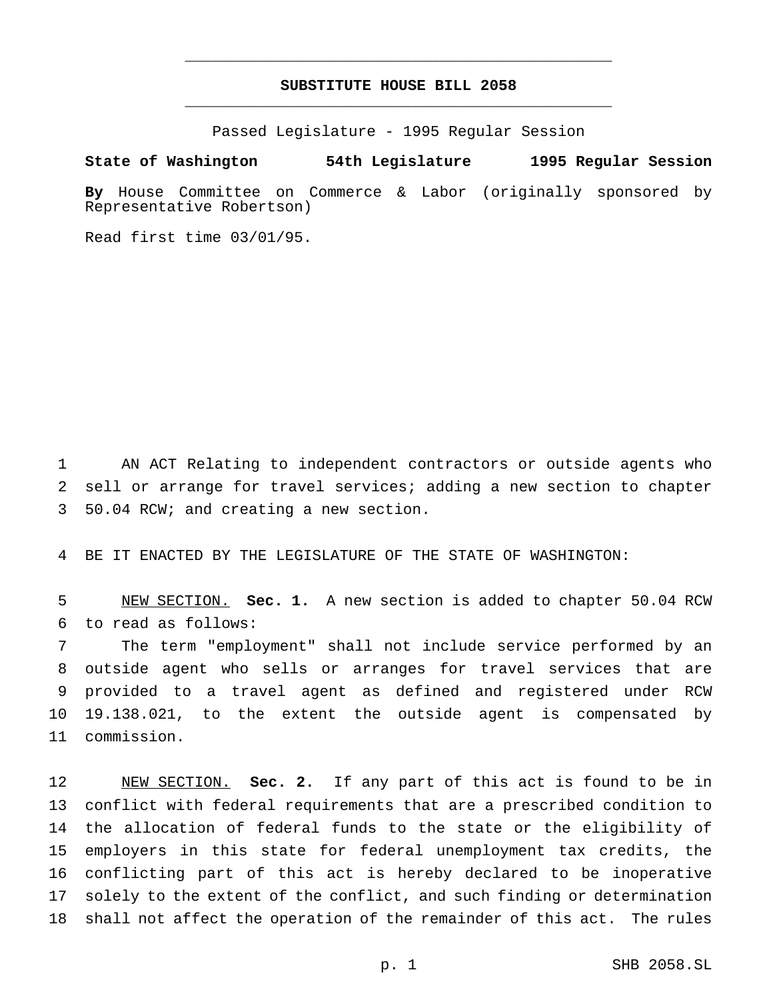# **SUBSTITUTE HOUSE BILL 2058** \_\_\_\_\_\_\_\_\_\_\_\_\_\_\_\_\_\_\_\_\_\_\_\_\_\_\_\_\_\_\_\_\_\_\_\_\_\_\_\_\_\_\_\_\_\_\_

\_\_\_\_\_\_\_\_\_\_\_\_\_\_\_\_\_\_\_\_\_\_\_\_\_\_\_\_\_\_\_\_\_\_\_\_\_\_\_\_\_\_\_\_\_\_\_

Passed Legislature - 1995 Regular Session

### **State of Washington 54th Legislature 1995 Regular Session**

**By** House Committee on Commerce & Labor (originally sponsored by Representative Robertson)

Read first time 03/01/95.

 AN ACT Relating to independent contractors or outside agents who sell or arrange for travel services; adding a new section to chapter 50.04 RCW; and creating a new section.

BE IT ENACTED BY THE LEGISLATURE OF THE STATE OF WASHINGTON:

 NEW SECTION. **Sec. 1.** A new section is added to chapter 50.04 RCW to read as follows:

 The term "employment" shall not include service performed by an outside agent who sells or arranges for travel services that are provided to a travel agent as defined and registered under RCW 19.138.021, to the extent the outside agent is compensated by commission.

 NEW SECTION. **Sec. 2.** If any part of this act is found to be in conflict with federal requirements that are a prescribed condition to the allocation of federal funds to the state or the eligibility of employers in this state for federal unemployment tax credits, the conflicting part of this act is hereby declared to be inoperative solely to the extent of the conflict, and such finding or determination shall not affect the operation of the remainder of this act. The rules